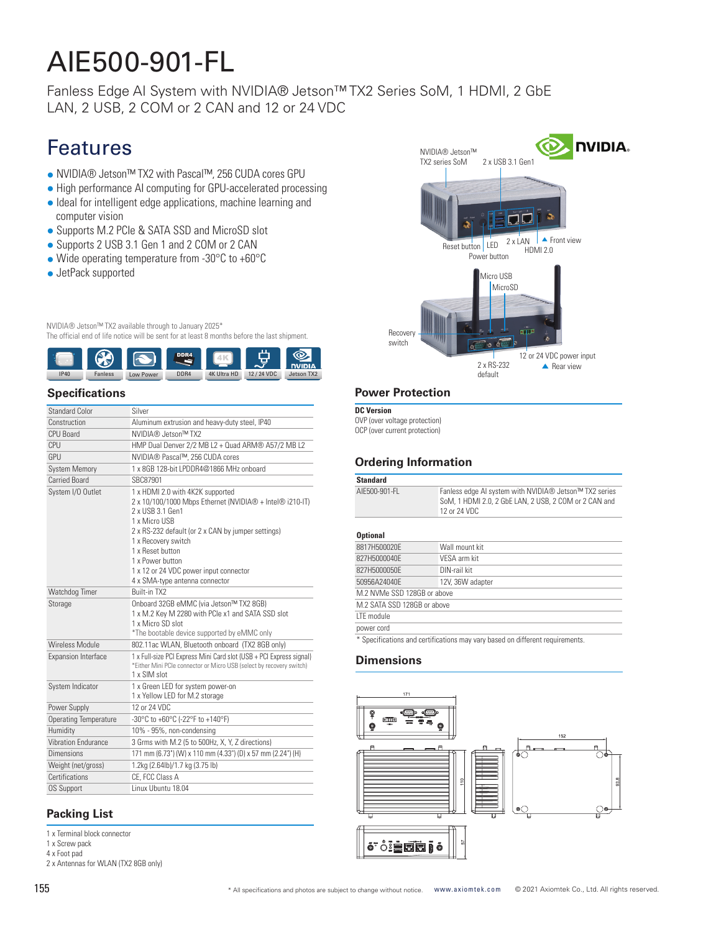# AIE500-901-FL

Fanless Edge AI System with NVIDIA® Jetson™ TX2 Series SoM, 1 HDMI, 2 GbE LAN, 2 USB, 2 COM or 2 CAN and 12 or 24 VDC

### Features

- NVIDIA® Jetson™ TX2 with Pascal™, 256 CUDA cores GPU
- High performance AI computing for GPU-accelerated processing
- Ideal for intelligent edge applications, machine learning and computer vision
- Supports M.2 PCIe & SATA SSD and MicroSD slot
- Supports 2 USB 3.1 Gen 1 and 2 COM or 2 CAN
- Wide operating temperature from -30°C to +60°C
- JetPack supported

NVIDIA® Jetson™ TX2 available through to January 2025\*

The official end of life notice will be sent for at least 8 months before the last shipment.



#### **Specifications**

| Standard Color               | Silver                                                                                                                                                                                                                                                                                                                             |
|------------------------------|------------------------------------------------------------------------------------------------------------------------------------------------------------------------------------------------------------------------------------------------------------------------------------------------------------------------------------|
| Construction                 | Aluminum extrusion and heavy-duty steel, IP40                                                                                                                                                                                                                                                                                      |
| CPU Board                    | NVIDIA® Jetson™ TX2                                                                                                                                                                                                                                                                                                                |
| <b>CPU</b>                   | HMP Dual Denver 2/2 MB L2 + Quad ARM® A57/2 MB L2                                                                                                                                                                                                                                                                                  |
| GPU                          | NVIDIA® Pascal™, 256 CUDA cores                                                                                                                                                                                                                                                                                                    |
| <b>System Memory</b>         | 1 x 8GB 128-bit I PDDR4@1866 MHz onboard                                                                                                                                                                                                                                                                                           |
| <b>Carried Board</b>         | SBC87901                                                                                                                                                                                                                                                                                                                           |
| System I/O Outlet            | 1 x HDMI 2.0 with 4K2K supported<br>2 x 10/100/1000 Mbps Ethernet (NVIDIA® + Intel® i210-IT)<br>2 x USB 3.1 Gen1<br>1 x Micro USB<br>2 x RS-232 default (or 2 x CAN by jumper settings)<br>1 x Recovery switch<br>1 x Reset button<br>1 x Power button<br>1 x 12 or 24 VDC power input connector<br>4 x SMA-type antenna connector |
| Watchdog Timer               | Built-in TX2                                                                                                                                                                                                                                                                                                                       |
| Storage                      | Onboard 32GB eMMC (via Jetson™ TX2 8GB)<br>1 x M.2 Key M 2280 with PCIe x1 and SATA SSD slot<br>1 x Micro SD slot<br>*The bootable device supported by eMMC only                                                                                                                                                                   |
| Wireless Module              | 802.11ac WLAN, Bluetooth onboard (TX2 8GB only)                                                                                                                                                                                                                                                                                    |
| Expansion Interface          | 1 x Full-size PCI Express Mini Card slot (USB + PCI Express signal)<br>*Either Mini PCIe connector or Micro USB (select by recovery switch)<br>1 x SIM slot                                                                                                                                                                        |
| System Indicator             | 1 x Green LED for system power-on<br>1 x Yellow LED for M.2 storage                                                                                                                                                                                                                                                                |
| Power Supply                 | 12 or 24 VDC                                                                                                                                                                                                                                                                                                                       |
| <b>Operating Temperature</b> | -30°C to +60°C (-22°F to +140°F)                                                                                                                                                                                                                                                                                                   |
| Humidity                     | 10% - 95%, non-condensing                                                                                                                                                                                                                                                                                                          |
| <b>Vibration Endurance</b>   | 3 Grms with M.2 (5 to 500Hz, X, Y, Z directions)                                                                                                                                                                                                                                                                                   |
| Dimensions                   | 171 mm (6.73") (W) x 110 mm (4.33") (D) x 57 mm (2.24") (H)                                                                                                                                                                                                                                                                        |
| Weight (net/gross)           | 1.2kg (2.64lb)/1.7 kg (3.75 lb)                                                                                                                                                                                                                                                                                                    |
| Certifications               | CE. FCC Class A                                                                                                                                                                                                                                                                                                                    |
| <b>OS Support</b>            | Linux Ubuntu 18.04                                                                                                                                                                                                                                                                                                                 |

#### **Packing List**

- 1 x Terminal block connector
- 1 x Screw pack
- 4 x Foot pad 2 x Antennas for WLAN (TX2 8GB only)



#### **Power Protection**

```
DC Version
```
OVP (over voltage protection) OCP (over current protection)

### **Ordering Information**

| <b>Standard</b>             |                                                                                                                                 |
|-----------------------------|---------------------------------------------------------------------------------------------------------------------------------|
| AIF500-901-FI               | Fanless edge AI system with NVIDIA® Jetson™ TX2 series<br>SoM, 1 HDMI 2.0, 2 GbE LAN, 2 USB, 2 COM or 2 CAN and<br>12 or 24 VDC |
| <b>Optional</b>             |                                                                                                                                 |
| 8817H500020F                | Wall mount kit                                                                                                                  |
| 827H5000040F                | VFSA arm kit                                                                                                                    |
| 827H5000050F                | DIN-rail kit                                                                                                                    |
| 50956A24040F                | 12V, 36W adapter                                                                                                                |
| M.2 NVMe SSD 128GB or above |                                                                                                                                 |
| M.2 SATA SSD 128GB or above |                                                                                                                                 |
| <b>ITF</b> module           |                                                                                                                                 |
| power cord                  |                                                                                                                                 |
|                             | * Considerations and opertifications may vany board on different requirements                                                   |

ions may vary based on different red

#### **Dimensions**